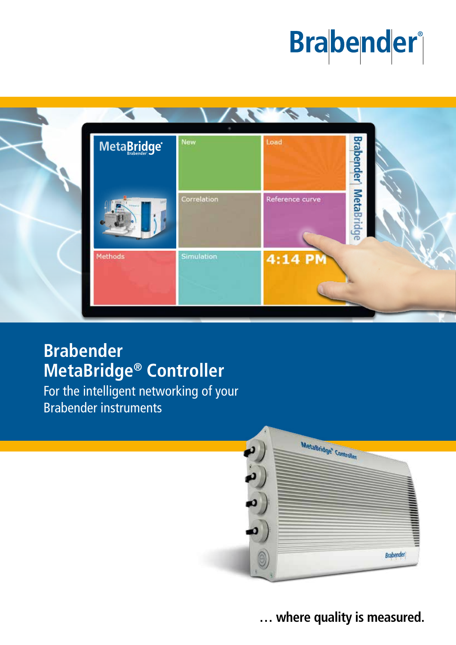# **Brabender**



# **Brabender MetaBridge® Controller**

For the intelligent networking of your Brabender instruments



**… where quality is measured.**